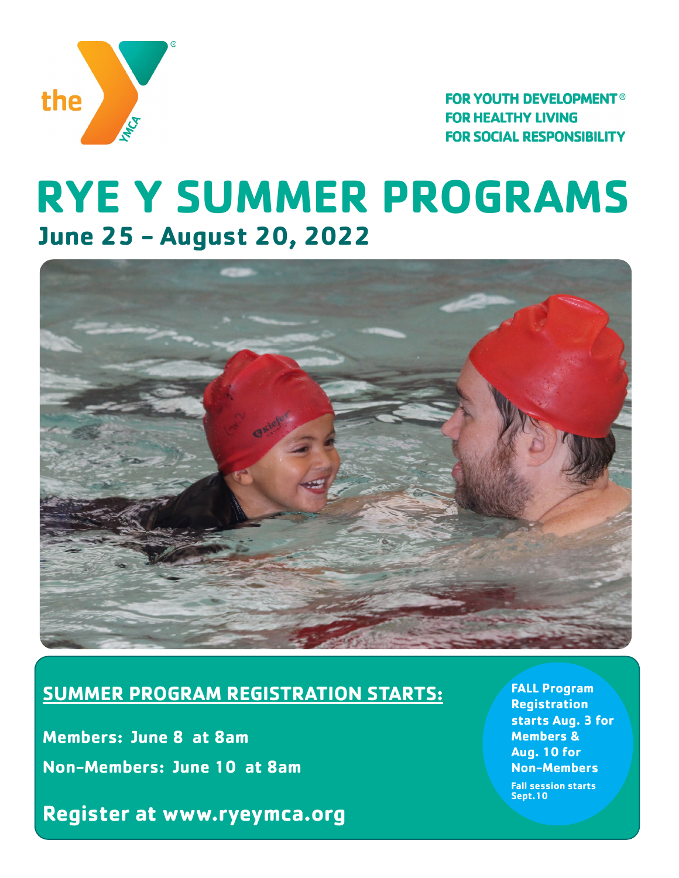

**FOR YOUTH DEVELOPMENT<sup>®</sup> FOR HEALTHY LIVING FOR SOCIAL RESPONSIBILITY** 

## **RYE Y SUMMER PROGRAMS June 25 - August 20, 2022**



## **SUMMER PROGRAM REGISTRATION STARTS:**

**Members: June 8 at 8am Non-Members: June 10 at 8am**

**Register at www.ryeymca.org** 

**Summer Session: June 27 - August 22, 2015 FALL Program Registration starts Aug. 3 for Members & Aug. 10 for Non-Members Fall session starts Sept.10**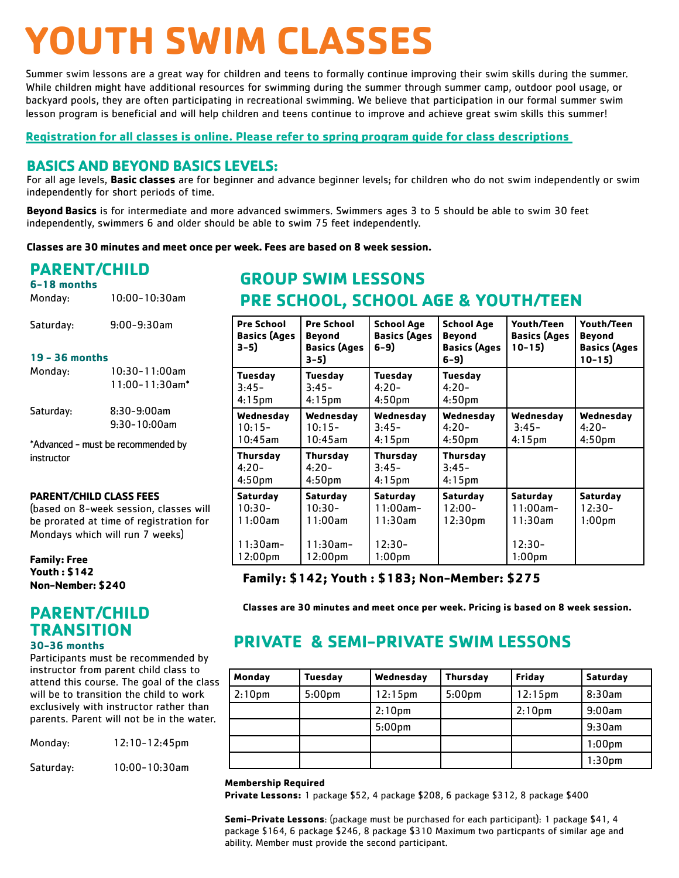# **YOUTH SWIM CLASSES**

Summer swim lessons are a great way for children and teens to formally continue improving their swim skills during the summer. While children might have additional resources for swimming during the summer through summer camp, outdoor pool usage, or backyard pools, they are often participating in recreational swimming. We believe that participation in our formal summer swim lesson program is beneficial and will help children and teens continue to improve and achieve great swim skills this summer!

## **Registration for all classes is online. Please refer to spring program guide for class descriptions**

## **BASICS AND BEYOND BASICS LEVELS:**

For all age levels, **Basic classes** are for beginner and advance beginner levels; for children who do not swim independently or swim independently for short periods of time.

**Beyond Basics** is for intermediate and more advanced swimmers. Swimmers ages 3 to 5 should be able to swim 30 feet independently, swimmers 6 and older should be able to swim 75 feet independently.

**Classes are 30 minutes and meet once per week. Fees are based on 8 week session.**

## **PARENT/CHILD**

| 6-18 months<br>Monday: | $10:00 - 10:30$ am |
|------------------------|--------------------|
| Saturday:              | $9:00 - 9:30$ am   |

#### **19 - 36 months**

| Monday:                                          | $10:30 - 11:00$ am<br>$11:00 - 11:30$ am <sup>*</sup> |  |
|--------------------------------------------------|-------------------------------------------------------|--|
| Saturday:                                        | 8:30-9:00am<br>$9.30 - 10.00$ am                      |  |
| *Advanced - must be recommended by<br>instructor |                                                       |  |

#### **PARENT/CHILD CLASS FEES**

(based on 8-week session, classes will be prorated at time of registration for Mondays which will run 7 weeks)

#### **Family: Free Youth : \$142 Non-Nember: \$240**

## **PARENT/CHILD TRANSITION**

#### **30-36 months**

Participants must be recommended by instructor from parent child class to attend this course. The goal of the class will be to transition the child to work exclusively with instructor rather than parents. Parent will not be in the water.

| Monday: | 12:10-12:45pm |
|---------|---------------|
|         |               |

Saturday: 10:00-10:30am

## **GROUP SWIM LESSONS PRE SCHOOL, SCHOOL AGE & YOUTH/TEEN**

| Pre School<br><b>Basics (Ages</b><br>$3-5)$ | <b>Pre School</b><br><b>Beyond</b><br><b>Basics (Ages</b><br>3-5) | <b>School Age</b><br><b>Basics (Ages</b><br>6-9) | <b>School Age</b><br><b>Beyond</b><br><b>Basics (Ages</b><br>6-9) | Youth/Teen<br><b>Basics (Ages</b><br>$10 - 15$ | Youth/Teen<br><b>Beyond</b><br><b>Basics (Ages</b><br>$10 - 15$ |
|---------------------------------------------|-------------------------------------------------------------------|--------------------------------------------------|-------------------------------------------------------------------|------------------------------------------------|-----------------------------------------------------------------|
| Tuesday<br>$3:45-$<br>$4:15$ pm             | Tuesday<br>3:45-<br>$4:15$ pm                                     | Tuesday<br>4:20-<br>4:50 <sub>pm</sub>           | Tuesday<br>$4:20-$<br>4:50 <sub>pm</sub>                          |                                                |                                                                 |
| Wednesday<br>$10:15-$<br>$10:45$ am         | Wednesday<br>$10:15-$<br>$10:45$ am                               | Wednesday<br>$3:45-$<br>$4:15$ pm                | Wednesday<br>$4:20-$<br>4:50 <sub>pm</sub>                        | Wednesday<br>$3:45-$<br>$4:15$ pm              | Wednesday<br>$4:20-$<br>4:50 <sub>pm</sub>                      |
| Thursday<br>$4:20-$<br>4:50 <sub>pm</sub>   | Thursday<br>$4:20-$<br>4:50 <sub>pm</sub>                         | Thursday<br>$3:45-$<br>$4:15$ pm                 | Thursday<br>$3:45-$<br>$4:15$ pm                                  |                                                |                                                                 |
| <b>Saturday</b><br>$10:30-$<br>11:00am      | Saturday<br>$10:30-$<br>11:00am                                   | Saturday<br>$11:00am -$<br>11:30am               | Saturday<br>$12:00-$<br>12:30 <sub>pm</sub>                       | Saturday<br>$11:00$ am-<br>$11:30$ am          | Saturday<br>12:30-<br>1:00pm                                    |
| $11:30$ am-<br>12:00pm                      | $11:30$ am-<br>12:00pm                                            | $12:30-$<br>1:00 <sub>pm</sub>                   |                                                                   | $12:30-$<br>1:00 <sub>pm</sub>                 |                                                                 |

## **Family: \$142; Youth : \$183; Non-Member: \$275**

**Classes are 30 minutes and meet once per week. Pricing is based on 8 week session.**

## **PRIVATE & SEMI-PRIVATE SWIM LESSONS**

| Monday             | <b>Tuesday</b>     | Wednesday          | Thursday           | <b>Friday</b>      | Saturday           |
|--------------------|--------------------|--------------------|--------------------|--------------------|--------------------|
| 2:10 <sub>pm</sub> | 5:00 <sub>pm</sub> | $12:15$ pm         | 5:00 <sub>pm</sub> | $12:15$ pm         | 8:30am             |
|                    |                    | 2:10 <sub>pm</sub> |                    | 2:10 <sub>pm</sub> | 9:00am             |
|                    |                    | 5:00 <sub>pm</sub> |                    |                    | 9:30am             |
|                    |                    |                    |                    |                    | 1:00 <sub>pm</sub> |
|                    |                    |                    |                    |                    | 1:30 <sub>pm</sub> |

#### **Membership Required**

**Private Lessons:** 1 package \$52, 4 package \$208, 6 package \$312, 8 package \$400

**Semi-Private Lessons**: (package must be purchased for each participant): 1 package \$41, 4 package \$164, 6 package \$246, 8 package \$310 Maximum two particpants of similar age and ability. Member must provide the second participant.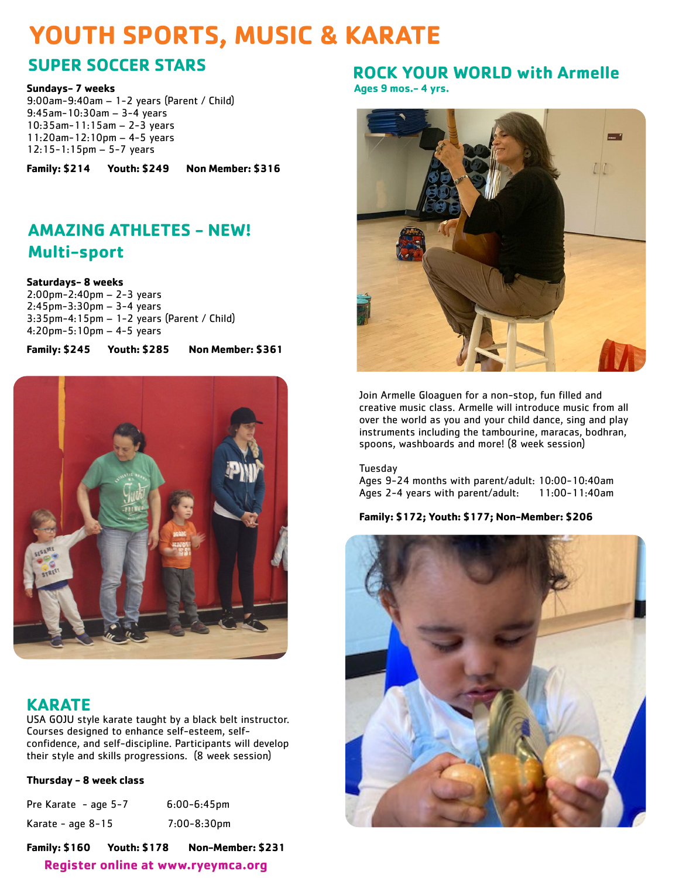## **YOUTH SPORTS, MUSIC & KARATE**

## **SUPER SOCCER STARS**

**Sundays- 7 weeks**

9:00am-9:40am – 1-2 years (Parent / Child) 9:45am-10:30am – 3-4 years 10:35am-11:15am – 2-3 years 11:20am-12:10pm – 4-5 years 12:15-1:15pm – 5-7 years

**Family: \$214 Youth: \$249 Non Member: \$316**

## **AMAZING ATHLETES - NEW! Multi-sport**

**Saturdays- 8 weeks**

2:00pm-2:40pm – 2-3 years 2:45pm-3:30pm – 3-4 years 3:35pm-4:15pm – 1-2 years (Parent / Child) 4:20pm-5:10pm – 4-5 years

**Family: \$245 Youth: \$285 Non Member: \$361**



## **KARATE**

USA GOJU style karate taught by a black belt instructor. Courses designed to enhance self-esteem, selfconfidence, and self-discipline. Participants will develop their style and skills progressions. (8 week session)

## **Thursday - 8 week class**

| Pre Karate - age 5-7 | $6:00 - 6:45$ pm |
|----------------------|------------------|
| Karate - age 8-15    | 7:00-8:30pm      |

**Register online at www.ryeymca.org Family: \$160 Youth: \$178 Non-Member: \$231**

## **ROCK YOUR WORLD with Armelle**

**Ages 9 mos.- 4 yrs.** 



Join Armelle Gloaguen for a non-stop, fun filled and creative music class. Armelle will introduce music from all over the world as you and your child dance, sing and play instruments including the tambourine, maracas, bodhran, spoons, washboards and more! (8 week session)

Tuesday Ages 9-24 months with parent/adult: 10:00-10:40am Ages 2-4 years with parent/adult: 11:00-11:40am

## **Family: \$172; Youth: \$177; Non-Member: \$206**